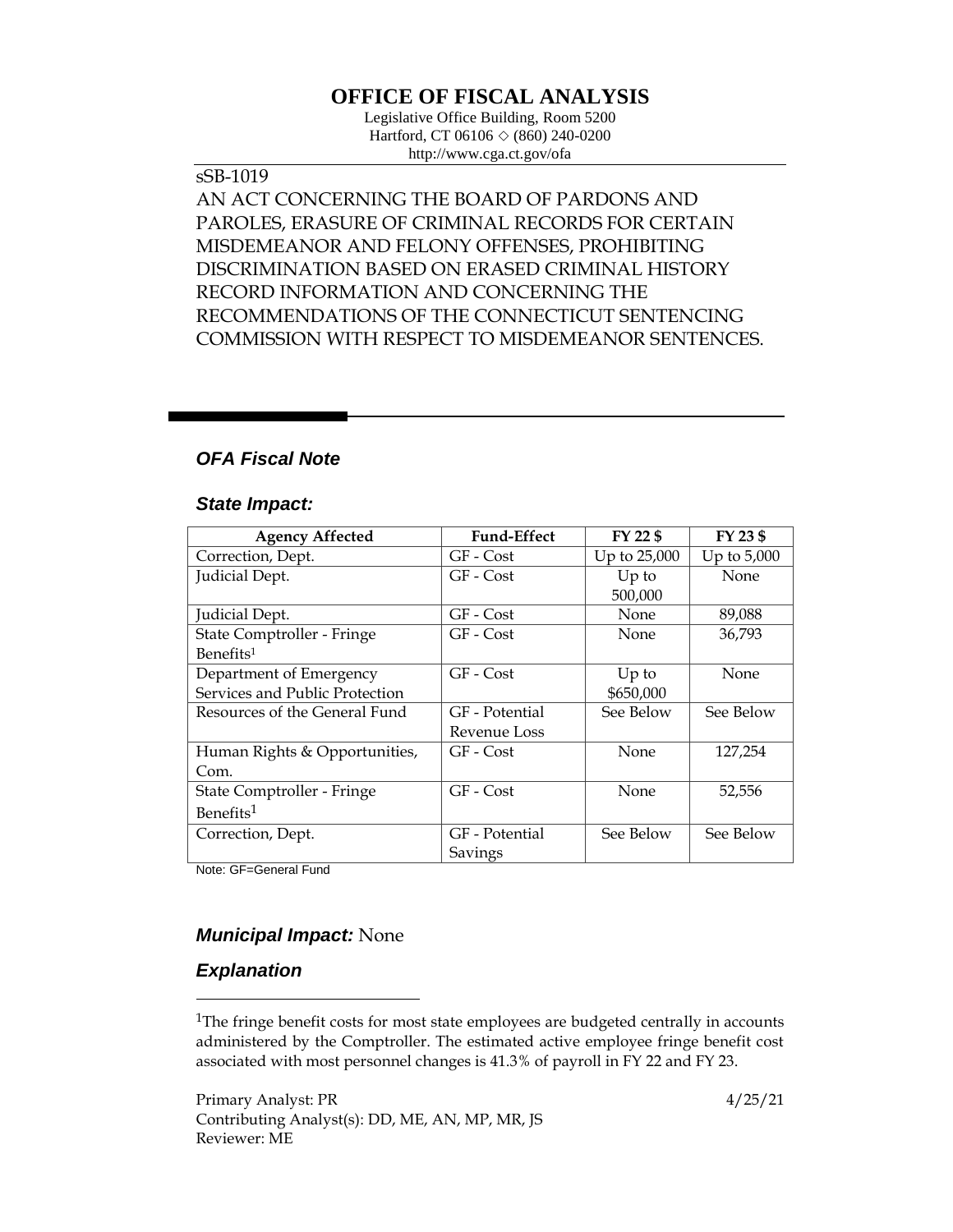# **OFFICE OF FISCAL ANALYSIS**

Legislative Office Building, Room 5200 Hartford, CT 06106  $\Diamond$  (860) 240-0200 http://www.cga.ct.gov/ofa

### sSB-1019

AN ACT CONCERNING THE BOARD OF PARDONS AND PAROLES, ERASURE OF CRIMINAL RECORDS FOR CERTAIN MISDEMEANOR AND FELONY OFFENSES, PROHIBITING DISCRIMINATION BASED ON ERASED CRIMINAL HISTORY RECORD INFORMATION AND CONCERNING THE RECOMMENDATIONS OF THE CONNECTICUT SENTENCING COMMISSION WITH RESPECT TO MISDEMEANOR SENTENCES.

### *OFA Fiscal Note*

#### *State Impact:*

| <b>Agency Affected</b>         | <b>Fund-Effect</b> | FY 22 \$     | FY 23 \$      |
|--------------------------------|--------------------|--------------|---------------|
| Correction, Dept.              | GF - Cost          | Up to 25,000 | Up to $5,000$ |
| Judicial Dept.                 | GF - Cost          | $Up$ to      | <b>None</b>   |
|                                |                    | 500,000      |               |
| Judicial Dept.                 | GF - Cost          | None         | 89,088        |
| State Comptroller - Fringe     | GF - Cost          | None         | 36,793        |
| Benefits <sup>1</sup>          |                    |              |               |
| Department of Emergency        | GF - Cost          | Up to        | None          |
| Services and Public Protection |                    | \$650,000    |               |
| Resources of the General Fund  | GF - Potential     | See Below    | See Below     |
|                                | Revenue Loss       |              |               |
| Human Rights & Opportunities,  | GF - Cost          | None         | 127,254       |
| Com.                           |                    |              |               |
| State Comptroller - Fringe     | GF - Cost          | None         | 52,556        |
| Benefits <sup>1</sup>          |                    |              |               |
| Correction, Dept.              | GF - Potential     | See Below    | See Below     |
|                                | Savings            |              |               |

Note: GF=General Fund

### *Municipal Impact:* None

#### *Explanation*

 $\overline{a}$ 

<sup>1</sup>The fringe benefit costs for most state employees are budgeted centrally in accounts administered by the Comptroller. The estimated active employee fringe benefit cost associated with most personnel changes is 41.3% of payroll in FY 22 and FY 23.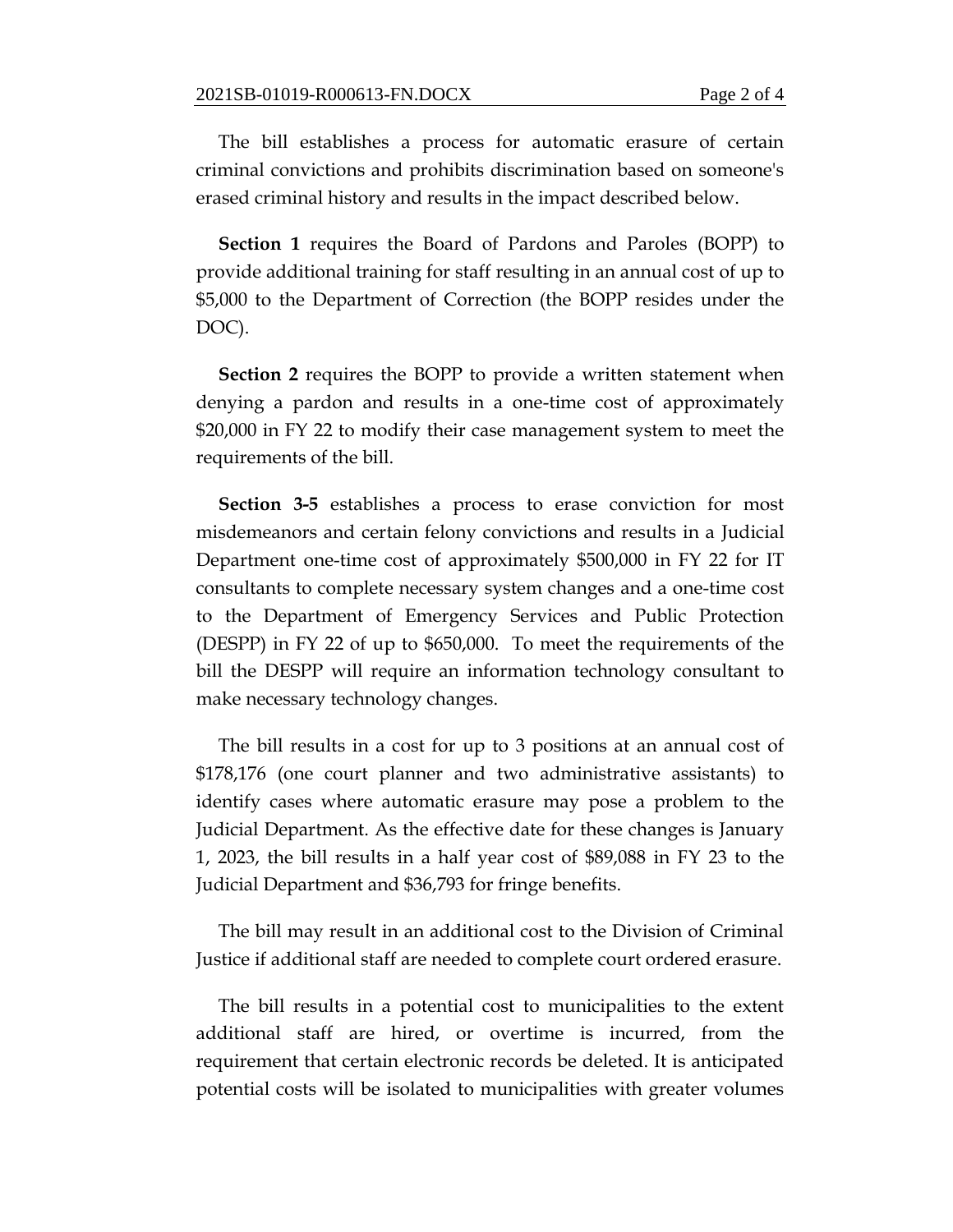The bill establishes a process for automatic erasure of certain criminal convictions and prohibits discrimination based on someone's erased criminal history and results in the impact described below.

**Section 1** requires the Board of Pardons and Paroles (BOPP) to provide additional training for staff resulting in an annual cost of up to \$5,000 to the Department of Correction (the BOPP resides under the DOC).

**Section 2** requires the BOPP to provide a written statement when denying a pardon and results in a one-time cost of approximately \$20,000 in FY 22 to modify their case management system to meet the requirements of the bill.

**Section 3-5** establishes a process to erase conviction for most misdemeanors and certain felony convictions and results in a Judicial Department one-time cost of approximately \$500,000 in FY 22 for IT consultants to complete necessary system changes and a one-time cost to the Department of Emergency Services and Public Protection (DESPP) in FY 22 of up to \$650,000. To meet the requirements of the bill the DESPP will require an information technology consultant to make necessary technology changes.

The bill results in a cost for up to 3 positions at an annual cost of \$178,176 (one court planner and two administrative assistants) to identify cases where automatic erasure may pose a problem to the Judicial Department. As the effective date for these changes is January 1, 2023, the bill results in a half year cost of \$89,088 in FY 23 to the Judicial Department and \$36,793 for fringe benefits.

The bill may result in an additional cost to the Division of Criminal Justice if additional staff are needed to complete court ordered erasure.

The bill results in a potential cost to municipalities to the extent additional staff are hired, or overtime is incurred, from the requirement that certain electronic records be deleted. It is anticipated potential costs will be isolated to municipalities with greater volumes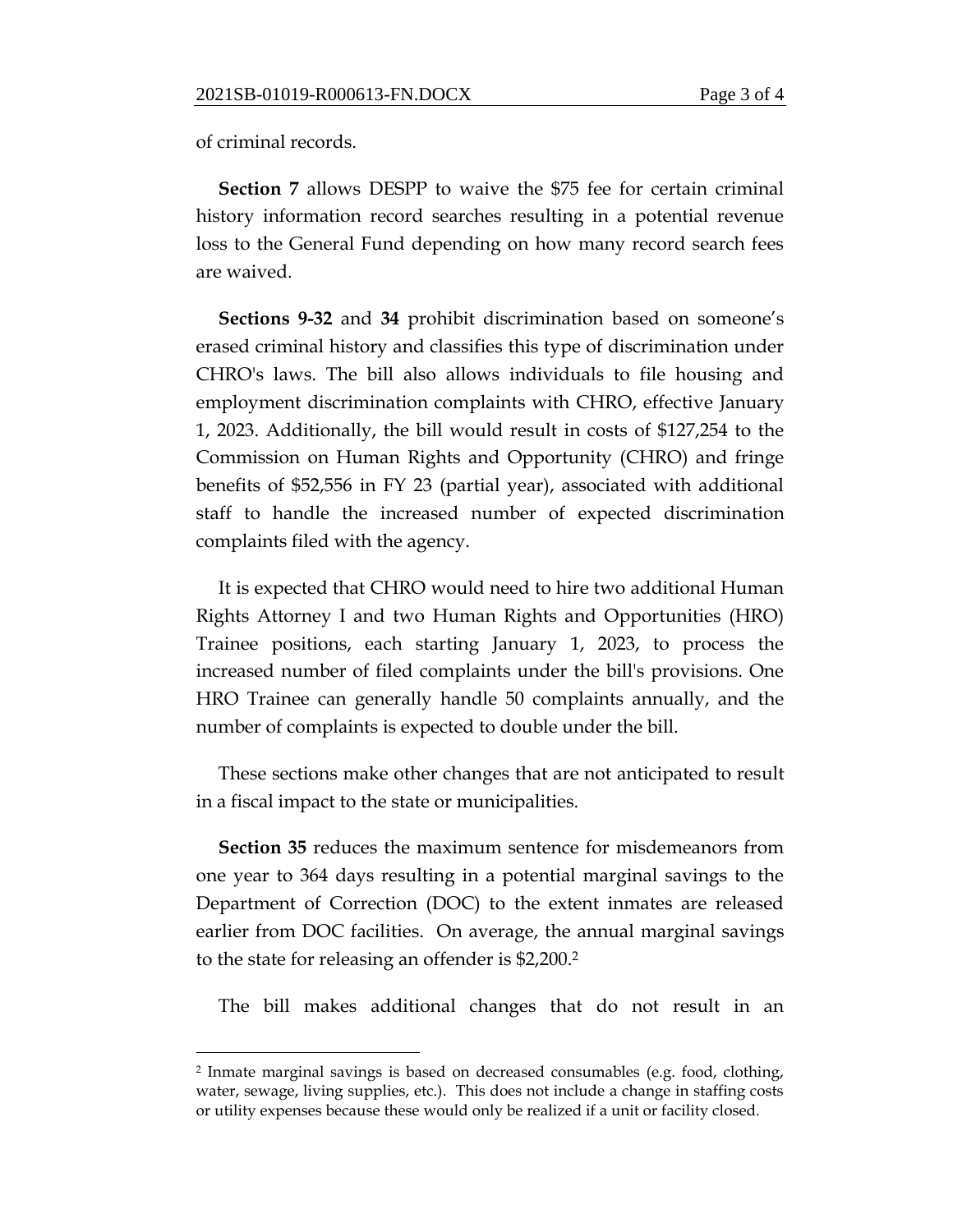of criminal records.

 $\overline{a}$ 

**Section 7** allows DESPP to waive the \$75 fee for certain criminal history information record searches resulting in a potential revenue loss to the General Fund depending on how many record search fees are waived.

**Sections 9-32** and **34** prohibit discrimination based on someone's erased criminal history and classifies this type of discrimination under CHRO's laws. The bill also allows individuals to file housing and employment discrimination complaints with CHRO, effective January 1, 2023. Additionally, the bill would result in costs of \$127,254 to the Commission on Human Rights and Opportunity (CHRO) and fringe benefits of \$52,556 in FY 23 (partial year), associated with additional staff to handle the increased number of expected discrimination complaints filed with the agency.

It is expected that CHRO would need to hire two additional Human Rights Attorney I and two Human Rights and Opportunities (HRO) Trainee positions, each starting January 1, 2023, to process the increased number of filed complaints under the bill's provisions. One HRO Trainee can generally handle 50 complaints annually, and the number of complaints is expected to double under the bill.

These sections make other changes that are not anticipated to result in a fiscal impact to the state or municipalities.

**Section 35** reduces the maximum sentence for misdemeanors from one year to 364 days resulting in a potential marginal savings to the Department of Correction (DOC) to the extent inmates are released earlier from DOC facilities. On average, the annual marginal savings to the state for releasing an offender is \$2,200. 2

The bill makes additional changes that do not result in an

<sup>2</sup> Inmate marginal savings is based on decreased consumables (e.g. food, clothing, water, sewage, living supplies, etc.). This does not include a change in staffing costs or utility expenses because these would only be realized if a unit or facility closed.